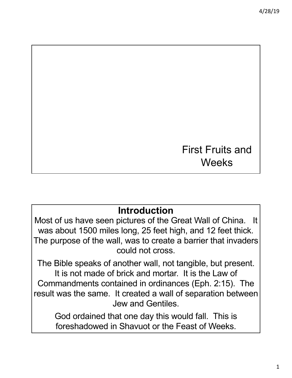# First Fruits and **Weeks**

# **Introduction**

Most of us have seen pictures of the Great Wall of China. It was about 1500 miles long, 25 feet high, and 12 feet thick. The purpose of the wall, was to create a barrier that invaders could not cross.

The Bible speaks of another wall, not tangible, but present. It is not made of brick and mortar. It is the Law of Commandments contained in ordinances (Eph. 2:15). The result was the same. It created a wall of separation between Jew and Gentiles.

God ordained that one day this would fall. This is foreshadowed in Shavuot or the Feast of Weeks.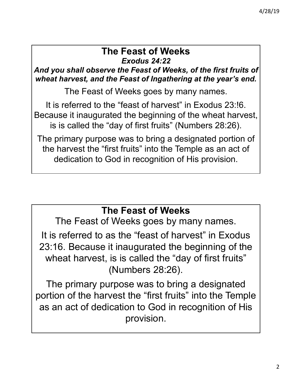#### *Exodus 24:22* **The Feast of Weeks**

*And you shall observe the Feast of Weeks, of the first fruits of wheat harvest, and the Feast of Ingathering at the year's end.*

The Feast of Weeks goes by many names.

It is referred to the "feast of harvest" in Exodus 23:!6. Because it inaugurated the beginning of the wheat harvest, is is called the "day of first fruits" (Numbers 28:26).

The primary purpose was to bring a designated portion of the harvest the "first fruits" into the Temple as an act of dedication to God in recognition of His provision.

# **The Feast of Weeks**

The Feast of Weeks goes by many names.

It is referred to as the "feast of harvest" in Exodus 23:16. Because it inaugurated the beginning of the wheat harvest, is is called the "day of first fruits" (Numbers 28:26).

The primary purpose was to bring a designated portion of the harvest the "first fruits" into the Temple as an act of dedication to God in recognition of His provision.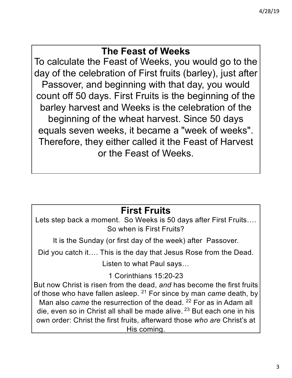## **The Feast of Weeks**

To calculate the Feast of Weeks, you would go to the day of the celebration of First fruits (barley), just after Passover, and beginning with that day, you would count off 50 days. First Fruits is the beginning of the barley harvest and Weeks is the celebration of the beginning of the wheat harvest. Since 50 days equals seven weeks, it became a "week of weeks". Therefore, they either called it the Feast of Harvest or the Feast of Weeks.

# **First Fruits**

Lets step back a moment. So Weeks is 50 days after First Fruits…. So when is First Fruits?

It is the Sunday (or first day of the week) after Passover.

Did you catch it…. This is the day that Jesus Rose from the Dead.

Listen to what Paul says…

1 Corinthians 15:20-23

But now Christ is risen from the dead, *and* has become the first fruits of those who have fallen asleep. <sup>21</sup> For since by man *came* death, by Man also *came* the resurrection of the dead. <sup>22</sup> For as in Adam all die, even so in Christ all shall be made alive. <sup>23</sup> But each one in his own order: Christ the first fruits, afterward those *who are* Christ's at His coming.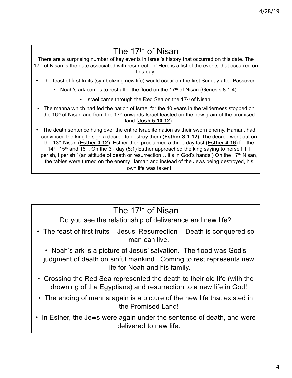# The 17th of Nisan

There are a surprising number of key events in Israel's history that occurred on this date. The 17<sup>th</sup> of Nisan is the date associated with resurrection! Here is a list of the events that occurred on this day:

- The feast of first fruits (symbolizing new life) would occur on the first Sunday after Passover.
	- Noah's ark comes to rest after the flood on the  $17<sup>th</sup>$  of Nisan (Genesis 8:1-4).
		- Israel came through the Red Sea on the  $17<sup>th</sup>$  of Nisan.
- The manna which had fed the nation of Israel for the 40 years in the wilderness stopped on the 16<sup>th</sup> of Nisan and from the 17<sup>th</sup> onwards Israel feasted on the new grain of the promised land (**Josh 5:10-12**).
- The death sentence hung over the entire Israelite nation as their sworn enemy, Haman, had convinced the king to sign a decree to destroy them (**Esther 3:1-12**). The decree went out on the 13th Nisan (**Esther 3:12**). Esther then proclaimed a three day fast (**Esther 4:16**) for the 14<sup>th</sup>, 15<sup>th</sup> and 16<sup>th</sup>. On the 3<sup>rd</sup> day (5:1) Esther approached the king saying to herself 'If I perish, I perish!' (an attitude of death or resurrection… it's in God's hands!) On the 17th Nisan, the tables were turned on the enemy Haman and instead of the Jews being destroyed, his own life was taken!

## The 17th of Nisan

Do you see the relationship of deliverance and new life?

• The feast of first fruits – Jesus' Resurrection – Death is conquered so man can live.

• Noah's ark is a picture of Jesus' salvation. The flood was God's judgment of death on sinful mankind. Coming to rest represents new life for Noah and his family.

- Crossing the Red Sea represented the death to their old life (with the drowning of the Egyptians) and resurrection to a new life in God!
- The ending of manna again is a picture of the new life that existed in the Promised Land!
- In Esther, the Jews were again under the sentence of death, and were delivered to new life.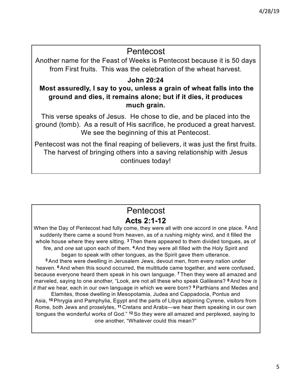### Pentecost

Another name for the Feast of Weeks is Pentecost because it is 50 days from First fruits. This was the celebration of the wheat harvest.

#### **John 20:24**

#### **Most assuredly, I say to you, unless a grain of wheat falls into the ground and dies, it remains alone; but if it dies, it produces much grain.**

This verse speaks of Jesus. He chose to die, and be placed into the ground (tomb). As a result of His sacrifice, he produced a great harvest. We see the beginning of this at Pentecost.

Pentecost was not the final reaping of believers, it was just the first fruits. The harvest of bringing others into a saving relationship with Jesus continues today!

## **Acts 2:1-12** Pentecost

When the Day of Pentecost had fully come, they were all with one accord in one place. **<sup>2</sup>** And suddenly there came a sound from heaven, as of a rushing mighty wind, and it filled the whole house where they were sitting. **<sup>3</sup>** Then there appeared to them divided tongues, as of fire, and *one* sat upon each of them. **<sup>4</sup>** And they were all filled with the Holy Spirit and began to speak with other tongues, as the Spirit gave them utterance.

**<sup>5</sup>** And there were dwelling in Jerusalem Jews, devout men, from every nation under heaven. **<sup>6</sup>** And when this sound occurred, the multitude came together, and were confused, because everyone heard them speak in his own language. **<sup>7</sup>** Then they were all amazed and marveled, saying to one another, "Look, are not all these who speak Galileans? **<sup>8</sup>** And how *is it that* we hear, each in our own language in which we were born? **<sup>9</sup>** Parthians and Medes and

Elamites, those dwelling in Mesopotamia, Judea and Cappadocia, Pontus and Asia, **<sup>10</sup>** Phrygia and Pamphylia, Egypt and the parts of Libya adjoining Cyrene, visitors from Rome, both Jews and proselytes, **<sup>11</sup>** Cretans and Arabs—we hear them speaking in our own tongues the wonderful works of God." **<sup>12</sup>** So they were all amazed and perplexed, saying to one another, "Whatever could this mean?"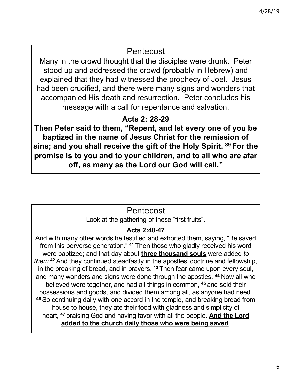### Pentecost

Many in the crowd thought that the disciples were drunk. Peter stood up and addressed the crowd (probably in Hebrew) and explained that they had witnessed the prophecy of Joel. Jesus had been crucified, and there were many signs and wonders that accompanied His death and resurrection. Peter concludes his message with a call for repentance and salvation.

### **Acts 2: 28-29**

**Then Peter said to them, "Repent, and let every one of you be baptized in the name of Jesus Christ for the remission of sins; and you shall receive the gift of the Holy Spirit. <sup>39</sup> For the promise is to you and to your children, and to all who are afar off, as many as the Lord our God will call."**

## Pentecost

Look at the gathering of these "first fruits".

#### **Acts 2:40-47**

And with many other words he testified and exhorted them, saying, "Be saved from this perverse generation." **<sup>41</sup>** Then those who gladly received his word were baptized; and that day about **three thousand souls** were added *to them.***<sup>42</sup>** And they continued steadfastly in the apostles' doctrine and fellowship, in the breaking of bread, and in prayers. **<sup>43</sup>** Then fear came upon every soul, and many wonders and signs were done through the apostles. **<sup>44</sup>** Now all who believed were together, and had all things in common, **<sup>45</sup>** and sold their possessions and goods, and divided them among all, as anyone had need. **<sup>46</sup>** So continuing daily with one accord in the temple, and breaking bread from house to house, they ate their food with gladness and simplicity of heart, **<sup>47</sup>** praising God and having favor with all the people. **And the Lord added to the church daily those who were being saved**.